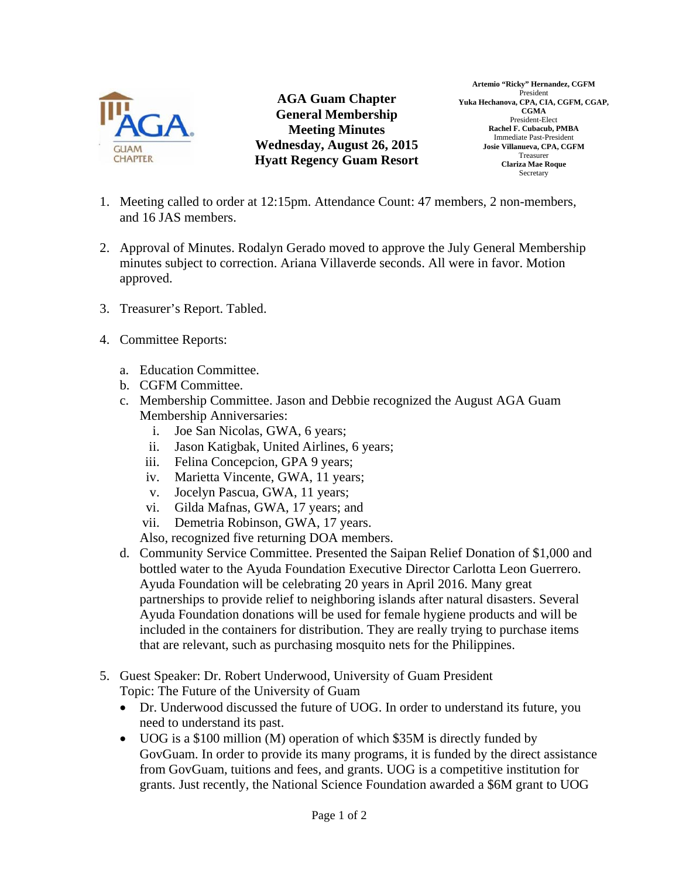

**AGA Guam Chapter General Membership Meeting Minutes Wednesday, August 26, 2015 Hyatt Regency Guam Resort** 

**Artemio "Ricky" Hernandez, CGFM**  President **Yuka Hechanova, CPA, CIA, CGFM, CGAP, CGMA**  President-Elect **Rachel F. Cubacub, PMBA**  Immediate Past-President **Josie Villanueva, CPA, CGFM**  Treasurer **Clariza Mae Roque**  Secretary

- 1. Meeting called to order at 12:15pm. Attendance Count: 47 members, 2 non-members, and 16 JAS members.
- 2. Approval of Minutes. Rodalyn Gerado moved to approve the July General Membership minutes subject to correction. Ariana Villaverde seconds. All were in favor. Motion approved.
- 3. Treasurer's Report. Tabled.
- 4. Committee Reports:
	- a. Education Committee.
	- b. CGFM Committee.
	- c. Membership Committee. Jason and Debbie recognized the August AGA Guam Membership Anniversaries:
		- i. Joe San Nicolas, GWA, 6 years;
		- ii. Jason Katigbak, United Airlines, 6 years;
		- iii. Felina Concepcion, GPA 9 years;
		- iv. Marietta Vincente, GWA, 11 years;
		- v. Jocelyn Pascua, GWA, 11 years;
		- vi. Gilda Mafnas, GWA, 17 years; and
		- vii. Demetria Robinson, GWA, 17 years.

Also, recognized five returning DOA members.

- d. Community Service Committee. Presented the Saipan Relief Donation of \$1,000 and bottled water to the Ayuda Foundation Executive Director Carlotta Leon Guerrero. Ayuda Foundation will be celebrating 20 years in April 2016. Many great partnerships to provide relief to neighboring islands after natural disasters. Several Ayuda Foundation donations will be used for female hygiene products and will be included in the containers for distribution. They are really trying to purchase items that are relevant, such as purchasing mosquito nets for the Philippines.
- 5. Guest Speaker: Dr. Robert Underwood, University of Guam President
	- Topic: The Future of the University of Guam
	- Dr. Underwood discussed the future of UOG. In order to understand its future, you need to understand its past.
	- UOG is a \$100 million (M) operation of which \$35M is directly funded by GovGuam. In order to provide its many programs, it is funded by the direct assistance from GovGuam, tuitions and fees, and grants. UOG is a competitive institution for grants. Just recently, the National Science Foundation awarded a \$6M grant to UOG